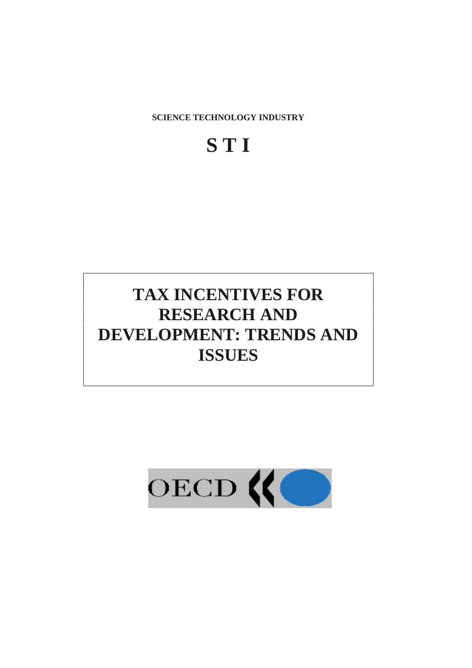

# **TAX INCENTIVES FOR RESEARCH AND DEVELOPMENT: TRENDS AND ISSUES**

**S T I** 

**SCIENCE TECHNOLOGY INDUSTRY**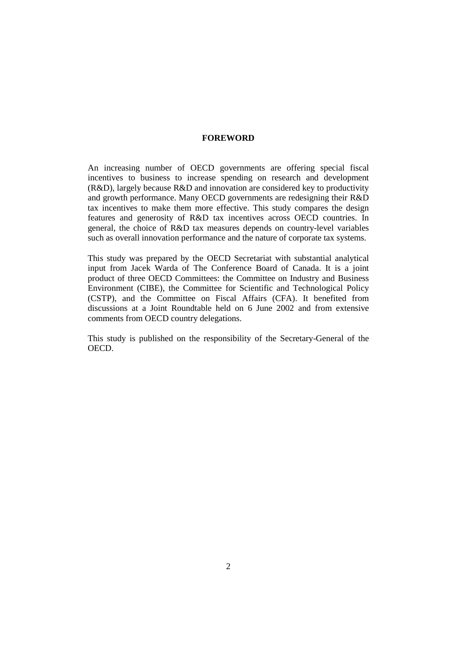#### **FOREWORD**

An increasing number of OECD governments are offering special fiscal incentives to business to increase spending on research and development (R&D), largely because R&D and innovation are considered key to productivity and growth performance. Many OECD governments are redesigning their R&D tax incentives to make them more effective. This study compares the design features and generosity of R&D tax incentives across OECD countries. In general, the choice of R&D tax measures depends on country-level variables such as overall innovation performance and the nature of corporate tax systems.

This study was prepared by the OECD Secretariat with substantial analytical input from Jacek Warda of The Conference Board of Canada. It is a joint product of three OECD Committees: the Committee on Industry and Business Environment (CIBE), the Committee for Scientific and Technological Policy (CSTP), and the Committee on Fiscal Affairs (CFA). It benefited from discussions at a Joint Roundtable held on 6 June 2002 and from extensive comments from OECD country delegations.

This study is published on the responsibility of the Secretary-General of the OECD.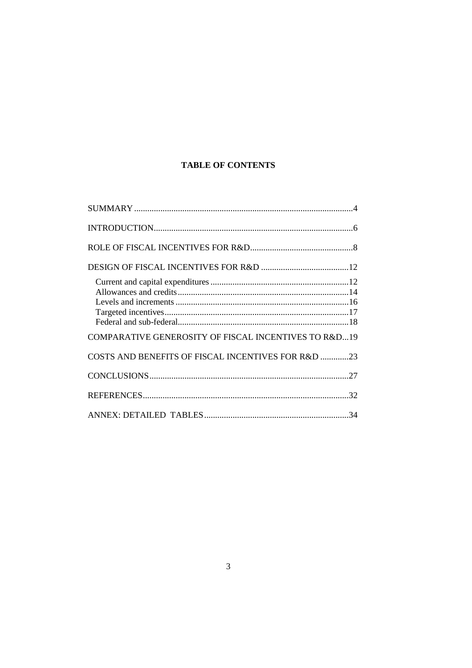# **TABLE OF CONTENTS**

| <b>COMPARATIVE GENEROSITY OF FISCAL INCENTIVES TO R&amp;D19</b> |  |
|-----------------------------------------------------------------|--|
| COSTS AND BENEFITS OF FISCAL INCENTIVES FOR R&D 23              |  |
|                                                                 |  |
|                                                                 |  |
|                                                                 |  |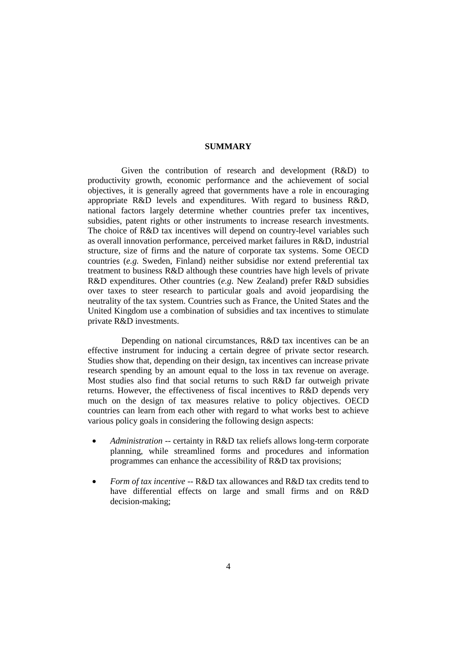#### **SUMMARY**

 Given the contribution of research and development (R&D) to productivity growth, economic performance and the achievement of social objectives, it is generally agreed that governments have a role in encouraging appropriate R&D levels and expenditures. With regard to business R&D, national factors largely determine whether countries prefer tax incentives, subsidies, patent rights or other instruments to increase research investments. The choice of R&D tax incentives will depend on country-level variables such as overall innovation performance, perceived market failures in R&D, industrial structure, size of firms and the nature of corporate tax systems. Some OECD countries (*e.g.* Sweden, Finland) neither subsidise nor extend preferential tax treatment to business R&D although these countries have high levels of private R&D expenditures. Other countries (*e.g.* New Zealand) prefer R&D subsidies over taxes to steer research to particular goals and avoid jeopardising the neutrality of the tax system. Countries such as France, the United States and the United Kingdom use a combination of subsidies and tax incentives to stimulate private R&D investments.

 Depending on national circumstances, R&D tax incentives can be an effective instrument for inducing a certain degree of private sector research. Studies show that, depending on their design, tax incentives can increase private research spending by an amount equal to the loss in tax revenue on average. Most studies also find that social returns to such R&D far outweigh private returns. However, the effectiveness of fiscal incentives to R&D depends very much on the design of tax measures relative to policy objectives. OECD countries can learn from each other with regard to what works best to achieve various policy goals in considering the following design aspects:

- *Administration* -- certainty in R&D tax reliefs allows long-term corporate planning, while streamlined forms and procedures and information programmes can enhance the accessibility of R&D tax provisions;
- *Form of tax incentive* -- R&D tax allowances and R&D tax credits tend to have differential effects on large and small firms and on R&D decision-making;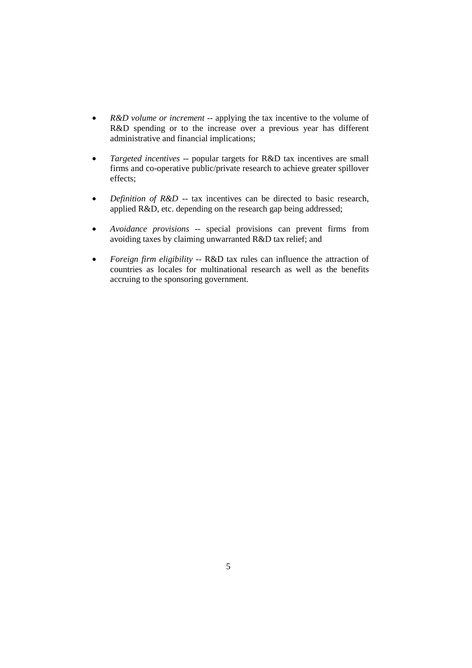- *R&D volume or increment* -- applying the tax incentive to the volume of R&D spending or to the increase over a previous year has different administrative and financial implications;
- *Targeted incentives* -- popular targets for R&D tax incentives are small firms and co-operative public/private research to achieve greater spillover effects;
- *Definition of R&D* -- tax incentives can be directed to basic research, applied R&D, etc. depending on the research gap being addressed;
- *Avoidance provisions* -- special provisions can prevent firms from avoiding taxes by claiming unwarranted R&D tax relief; and
- *Foreign firm eligibility* -- R&D tax rules can influence the attraction of countries as locales for multinational research as well as the benefits accruing to the sponsoring government.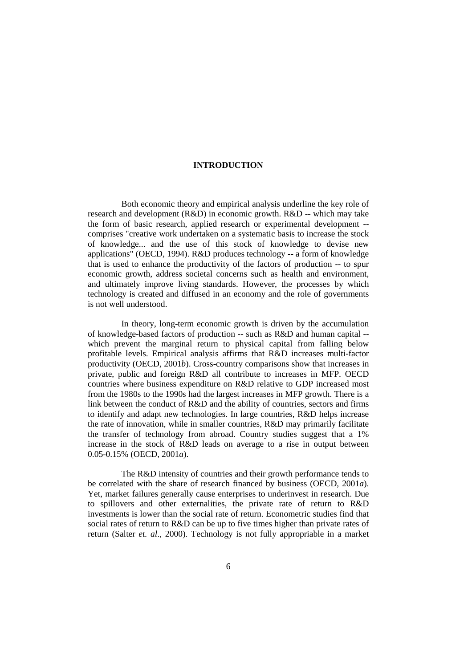## **INTRODUCTION**

 Both economic theory and empirical analysis underline the key role of research and development (R&D) in economic growth. R&D -- which may take the form of basic research, applied research or experimental development - comprises "creative work undertaken on a systematic basis to increase the stock of knowledge... and the use of this stock of knowledge to devise new applications" (OECD, 1994). R&D produces technology -- a form of knowledge that is used to enhance the productivity of the factors of production -- to spur economic growth, address societal concerns such as health and environment, and ultimately improve living standards. However, the processes by which technology is created and diffused in an economy and the role of governments is not well understood.

 In theory, long-term economic growth is driven by the accumulation of knowledge-based factors of production -- such as R&D and human capital - which prevent the marginal return to physical capital from falling below profitable levels. Empirical analysis affirms that R&D increases multi-factor productivity (OECD, 2001*b*). Cross-country comparisons show that increases in private, public and foreign R&D all contribute to increases in MFP. OECD countries where business expenditure on R&D relative to GDP increased most from the 1980s to the 1990s had the largest increases in MFP growth. There is a link between the conduct of R&D and the ability of countries, sectors and firms to identify and adapt new technologies. In large countries, R&D helps increase the rate of innovation, while in smaller countries, R&D may primarily facilitate the transfer of technology from abroad. Country studies suggest that a 1% increase in the stock of R&D leads on average to a rise in output between 0.05-0.15% (OECD, 2001*a*).

 The R&D intensity of countries and their growth performance tends to be correlated with the share of research financed by business (OECD, 2001*a*). Yet, market failures generally cause enterprises to underinvest in research. Due to spillovers and other externalities, the private rate of return to R&D investments is lower than the social rate of return. Econometric studies find that social rates of return to R&D can be up to five times higher than private rates of return (Salter *et. al*., 2000). Technology is not fully appropriable in a market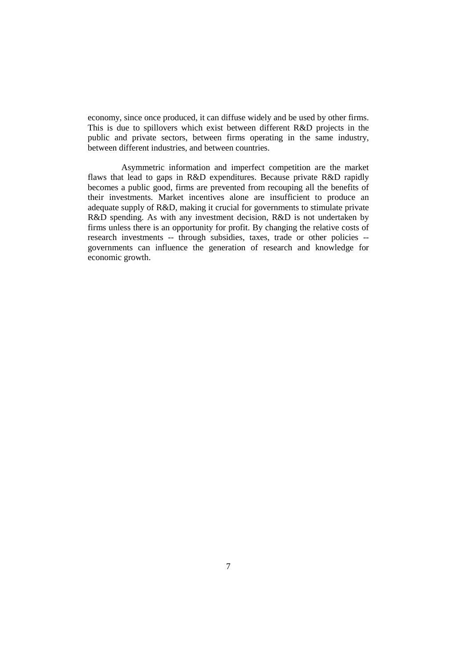economy, since once produced, it can diffuse widely and be used by other firms. This is due to spillovers which exist between different R&D projects in the public and private sectors, between firms operating in the same industry, between different industries, and between countries.

 Asymmetric information and imperfect competition are the market flaws that lead to gaps in R&D expenditures. Because private R&D rapidly becomes a public good, firms are prevented from recouping all the benefits of their investments. Market incentives alone are insufficient to produce an adequate supply of R&D, making it crucial for governments to stimulate private R&D spending. As with any investment decision, R&D is not undertaken by firms unless there is an opportunity for profit. By changing the relative costs of research investments -- through subsidies, taxes, trade or other policies - governments can influence the generation of research and knowledge for economic growth.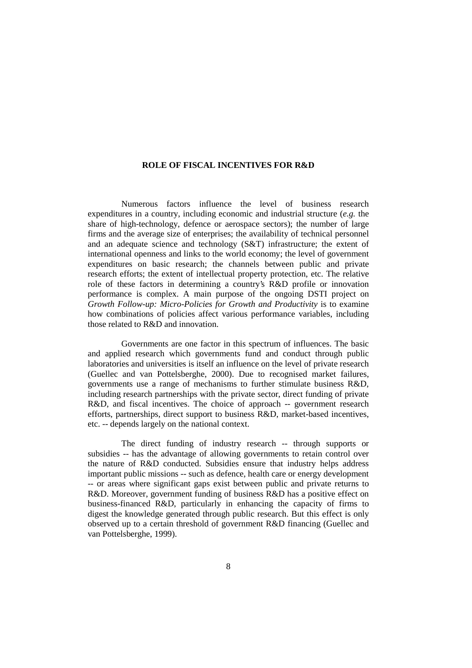#### **ROLE OF FISCAL INCENTIVES FOR R&D**

 Numerous factors influence the level of business research expenditures in a country, including economic and industrial structure (*e.g.* the share of high-technology, defence or aerospace sectors); the number of large firms and the average size of enterprises; the availability of technical personnel and an adequate science and technology (S&T) infrastructure; the extent of international openness and links to the world economy; the level of government expenditures on basic research; the channels between public and private research efforts; the extent of intellectual property protection, etc. The relative role of these factors in determining a country's R&D profile or innovation performance is complex. A main purpose of the ongoing DSTI project on *Growth Follow-up: Micro-Policies for Growth and Productivity* is to examine how combinations of policies affect various performance variables, including those related to R&D and innovation.

 Governments are one factor in this spectrum of influences. The basic and applied research which governments fund and conduct through public laboratories and universities is itself an influence on the level of private research (Guellec and van Pottelsberghe, 2000). Due to recognised market failures, governments use a range of mechanisms to further stimulate business R&D, including research partnerships with the private sector, direct funding of private R&D, and fiscal incentives. The choice of approach -- government research efforts, partnerships, direct support to business R&D, market-based incentives, etc. -- depends largely on the national context.

 The direct funding of industry research -- through supports or subsidies -- has the advantage of allowing governments to retain control over the nature of R&D conducted. Subsidies ensure that industry helps address important public missions -- such as defence, health care or energy development -- or areas where significant gaps exist between public and private returns to R&D. Moreover, government funding of business R&D has a positive effect on business-financed R&D, particularly in enhancing the capacity of firms to digest the knowledge generated through public research. But this effect is only observed up to a certain threshold of government R&D financing (Guellec and van Pottelsberghe, 1999).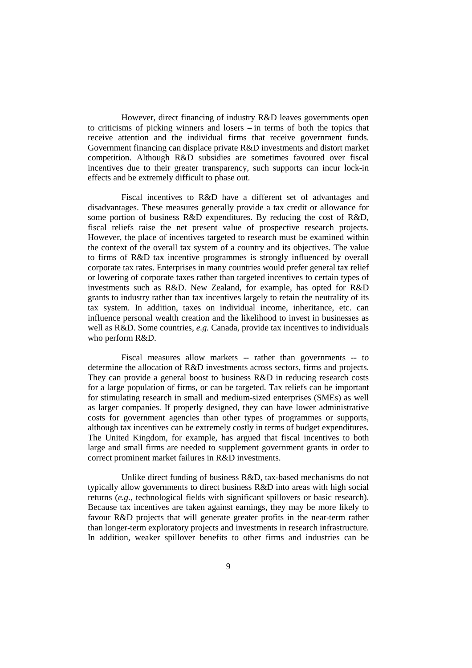However, direct financing of industry R&D leaves governments open to criticisms of picking winners and losers – in terms of both the topics that receive attention and the individual firms that receive government funds. Government financing can displace private R&D investments and distort market competition. Although R&D subsidies are sometimes favoured over fiscal incentives due to their greater transparency, such supports can incur lock-in effects and be extremely difficult to phase out.

 Fiscal incentives to R&D have a different set of advantages and disadvantages. These measures generally provide a tax credit or allowance for some portion of business R&D expenditures. By reducing the cost of R&D, fiscal reliefs raise the net present value of prospective research projects. However, the place of incentives targeted to research must be examined within the context of the overall tax system of a country and its objectives. The value to firms of R&D tax incentive programmes is strongly influenced by overall corporate tax rates. Enterprises in many countries would prefer general tax relief or lowering of corporate taxes rather than targeted incentives to certain types of investments such as R&D. New Zealand, for example, has opted for R&D grants to industry rather than tax incentives largely to retain the neutrality of its tax system. In addition, taxes on individual income, inheritance, etc. can influence personal wealth creation and the likelihood to invest in businesses as well as R&D. Some countries, *e.g.* Canada, provide tax incentives to individuals who perform R&D.

 Fiscal measures allow markets -- rather than governments -- to determine the allocation of R&D investments across sectors, firms and projects. They can provide a general boost to business R&D in reducing research costs for a large population of firms, or can be targeted. Tax reliefs can be important for stimulating research in small and medium-sized enterprises (SMEs) as well as larger companies. If properly designed, they can have lower administrative costs for government agencies than other types of programmes or supports, although tax incentives can be extremely costly in terms of budget expenditures. The United Kingdom, for example, has argued that fiscal incentives to both large and small firms are needed to supplement government grants in order to correct prominent market failures in R&D investments.

 Unlike direct funding of business R&D, tax-based mechanisms do not typically allow governments to direct business R&D into areas with high social returns (*e.g.*, technological fields with significant spillovers or basic research). Because tax incentives are taken against earnings, they may be more likely to favour R&D projects that will generate greater profits in the near-term rather than longer-term exploratory projects and investments in research infrastructure. In addition, weaker spillover benefits to other firms and industries can be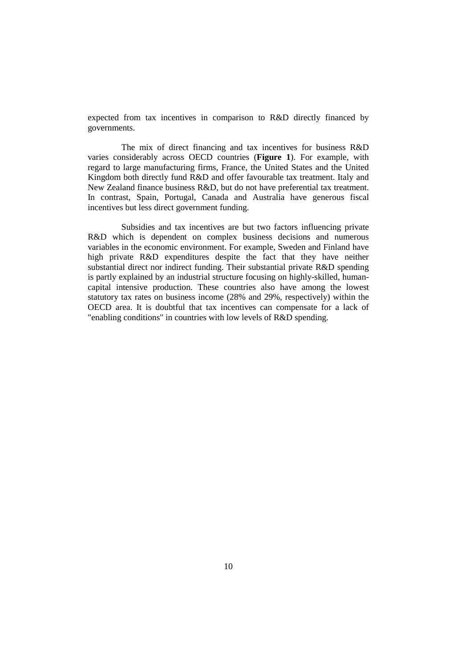expected from tax incentives in comparison to R&D directly financed by governments.

 The mix of direct financing and tax incentives for business R&D varies considerably across OECD countries (**Figure 1**). For example, with regard to large manufacturing firms, France, the United States and the United Kingdom both directly fund R&D and offer favourable tax treatment. Italy and New Zealand finance business R&D, but do not have preferential tax treatment. In contrast, Spain, Portugal, Canada and Australia have generous fiscal incentives but less direct government funding.

 Subsidies and tax incentives are but two factors influencing private R&D which is dependent on complex business decisions and numerous variables in the economic environment. For example, Sweden and Finland have high private R&D expenditures despite the fact that they have neither substantial direct nor indirect funding. Their substantial private R&D spending is partly explained by an industrial structure focusing on highly-skilled, humancapital intensive production. These countries also have among the lowest statutory tax rates on business income (28% and 29%, respectively) within the OECD area. It is doubtful that tax incentives can compensate for a lack of "enabling conditions" in countries with low levels of R&D spending.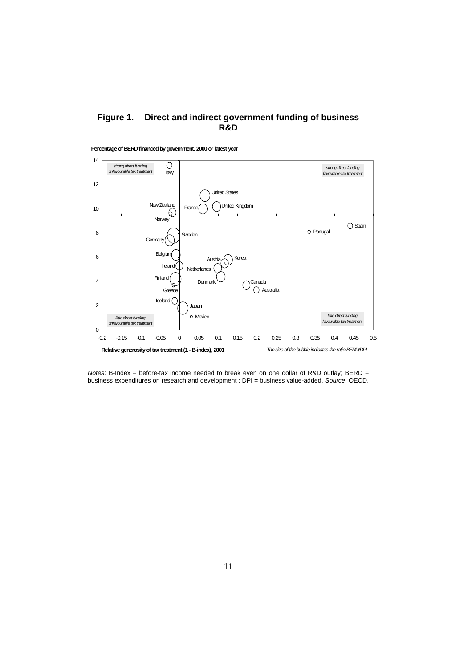## **Figure 1. Direct and indirect government funding of business R&D**



**Percentage of BERD financed by government, 2000 or latest year**

Notes: B-Index = before-tax income needed to break even on one dollar of R&D outlay; BERD = business expenditures on research and development ; DPI = business value-added. Source: OECD.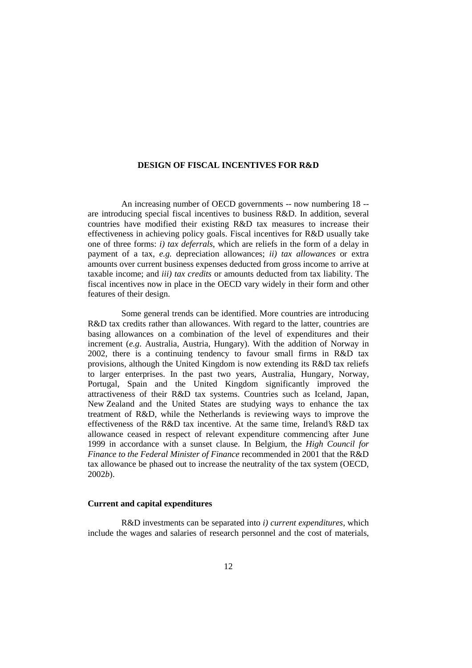#### **DESIGN OF FISCAL INCENTIVES FOR R&D**

 An increasing number of OECD governments -- now numbering 18 - are introducing special fiscal incentives to business R&D. In addition, several countries have modified their existing R&D tax measures to increase their effectiveness in achieving policy goals. Fiscal incentives for R&D usually take one of three forms: *i) tax deferrals*, which are reliefs in the form of a delay in payment of a tax, *e.g.* depreciation allowances; *ii) tax allowances* or extra amounts over current business expenses deducted from gross income to arrive at taxable income; and *iii) tax credits* or amounts deducted from tax liability. The fiscal incentives now in place in the OECD vary widely in their form and other features of their design.

 Some general trends can be identified. More countries are introducing R&D tax credits rather than allowances. With regard to the latter, countries are basing allowances on a combination of the level of expenditures and their increment (*e.g*. Australia, Austria, Hungary). With the addition of Norway in 2002, there is a continuing tendency to favour small firms in R&D tax provisions, although the United Kingdom is now extending its R&D tax reliefs to larger enterprises. In the past two years, Australia, Hungary, Norway, Portugal, Spain and the United Kingdom significantly improved the attractiveness of their R&D tax systems. Countries such as Iceland, Japan, New Zealand and the United States are studying ways to enhance the tax treatment of R&D, while the Netherlands is reviewing ways to improve the effectiveness of the R&D tax incentive. At the same time, Ireland's R&D tax allowance ceased in respect of relevant expenditure commencing after June 1999 in accordance with a sunset clause. In Belgium, the *High Council for Finance to the Federal Minister of Finance* recommended in 2001 that the R&D tax allowance be phased out to increase the neutrality of the tax system (OECD, 2002*b*).

#### **Current and capital expenditures**

 R&D investments can be separated into *i) current expenditures*, which include the wages and salaries of research personnel and the cost of materials,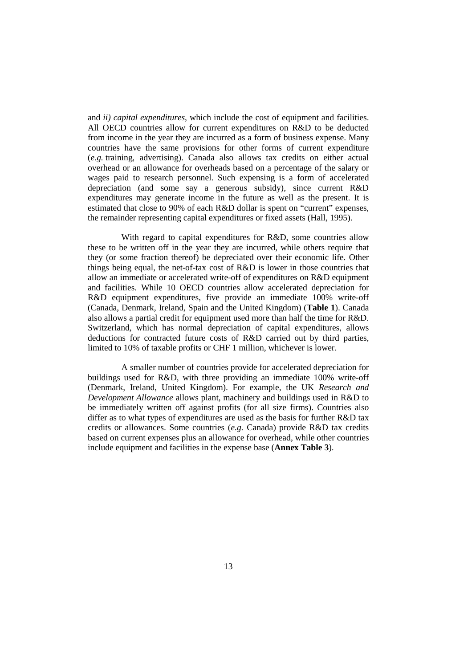and *ii) capital expenditures*, which include the cost of equipment and facilities. All OECD countries allow for current expenditures on R&D to be deducted from income in the year they are incurred as a form of business expense. Many countries have the same provisions for other forms of current expenditure (*e.g.* training, advertising). Canada also allows tax credits on either actual overhead or an allowance for overheads based on a percentage of the salary or wages paid to research personnel. Such expensing is a form of accelerated depreciation (and some say a generous subsidy), since current R&D expenditures may generate income in the future as well as the present. It is estimated that close to 90% of each R&D dollar is spent on "current" expenses, the remainder representing capital expenditures or fixed assets (Hall, 1995).

 With regard to capital expenditures for R&D, some countries allow these to be written off in the year they are incurred, while others require that they (or some fraction thereof) be depreciated over their economic life. Other things being equal, the net-of-tax cost of R&D is lower in those countries that allow an immediate or accelerated write-off of expenditures on R&D equipment and facilities. While 10 OECD countries allow accelerated depreciation for R&D equipment expenditures, five provide an immediate 100% write-off (Canada, Denmark, Ireland, Spain and the United Kingdom) (**Table 1**). Canada also allows a partial credit for equipment used more than half the time for R&D. Switzerland, which has normal depreciation of capital expenditures, allows deductions for contracted future costs of R&D carried out by third parties, limited to 10% of taxable profits or CHF 1 million, whichever is lower.

 A smaller number of countries provide for accelerated depreciation for buildings used for R&D, with three providing an immediate 100% write-off (Denmark, Ireland, United Kingdom). For example, the UK *Research and Development Allowance* allows plant, machinery and buildings used in R&D to be immediately written off against profits (for all size firms). Countries also differ as to what types of expenditures are used as the basis for further R&D tax credits or allowances. Some countries (*e.g.* Canada) provide R&D tax credits based on current expenses plus an allowance for overhead, while other countries include equipment and facilities in the expense base (**Annex Table 3**).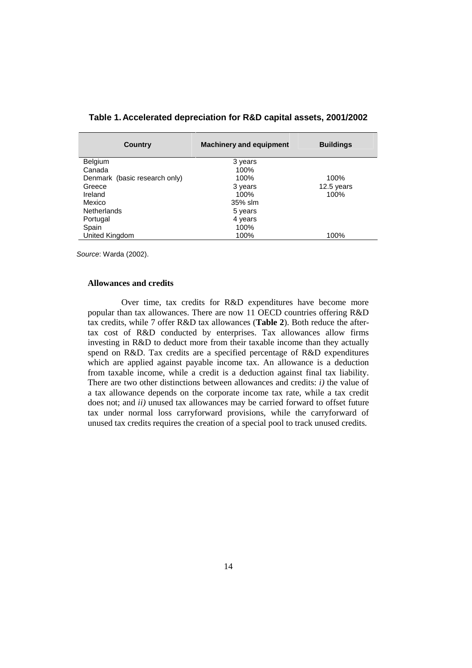| <b>Country</b>                | <b>Machinery and equipment</b> | <b>Buildings</b> |
|-------------------------------|--------------------------------|------------------|
| Belgium                       | 3 years                        |                  |
| Canada                        | 100%                           |                  |
| Denmark (basic research only) | 100%                           | 100%             |
| Greece                        | 3 years                        | 12.5 years       |
| Ireland                       | $100\%$                        | 100%             |
| Mexico                        | 35% slm                        |                  |
| <b>Netherlands</b>            | 5 years                        |                  |
| Portugal                      | 4 years                        |                  |
| Spain                         | 100%                           |                  |
| United Kingdom                | 100%                           | 100%             |

**Table 1. Accelerated depreciation for R&D capital assets, 2001/2002** 

Source: Warda (2002).

#### **Allowances and credits**

 Over time, tax credits for R&D expenditures have become more popular than tax allowances. There are now 11 OECD countries offering R&D tax credits, while 7 offer R&D tax allowances (**Table 2**). Both reduce the aftertax cost of R&D conducted by enterprises. Tax allowances allow firms investing in R&D to deduct more from their taxable income than they actually spend on R&D. Tax credits are a specified percentage of R&D expenditures which are applied against payable income tax. An allowance is a deduction from taxable income, while a credit is a deduction against final tax liability. There are two other distinctions between allowances and credits: *i)* the value of a tax allowance depends on the corporate income tax rate, while a tax credit does not; and *ii)* unused tax allowances may be carried forward to offset future tax under normal loss carryforward provisions, while the carryforward of unused tax credits requires the creation of a special pool to track unused credits.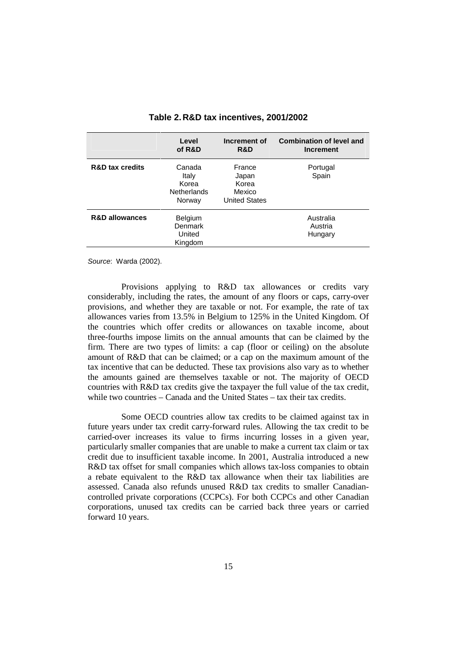|                            | Level<br>of R&D                                          | Increment of<br>R&D                                        | <b>Combination of level and</b><br><b>Increment</b> |
|----------------------------|----------------------------------------------------------|------------------------------------------------------------|-----------------------------------------------------|
| <b>R&amp;D tax credits</b> | Canada<br>Italy<br>Korea<br><b>Netherlands</b><br>Norway | France<br>Japan<br>Korea<br>Mexico<br><b>United States</b> | Portugal<br>Spain                                   |
| <b>R&amp;D allowances</b>  | <b>Belgium</b><br>Denmark<br>United<br>Kingdom           |                                                            | Australia<br>Austria<br>Hungary                     |

**Table 2. R&D tax incentives, 2001/2002** 

Source: Warda (2002).

 Provisions applying to R&D tax allowances or credits vary considerably, including the rates, the amount of any floors or caps, carry-over provisions, and whether they are taxable or not. For example, the rate of tax allowances varies from 13.5% in Belgium to 125% in the United Kingdom. Of the countries which offer credits or allowances on taxable income, about three-fourths impose limits on the annual amounts that can be claimed by the firm. There are two types of limits: a cap (floor or ceiling) on the absolute amount of R&D that can be claimed; or a cap on the maximum amount of the tax incentive that can be deducted. These tax provisions also vary as to whether the amounts gained are themselves taxable or not. The majority of OECD countries with R&D tax credits give the taxpayer the full value of the tax credit, while two countries – Canada and the United States – tax their tax credits.

 Some OECD countries allow tax credits to be claimed against tax in future years under tax credit carry-forward rules. Allowing the tax credit to be carried-over increases its value to firms incurring losses in a given year, particularly smaller companies that are unable to make a current tax claim or tax credit due to insufficient taxable income. In 2001, Australia introduced a new R&D tax offset for small companies which allows tax-loss companies to obtain a rebate equivalent to the R&D tax allowance when their tax liabilities are assessed. Canada also refunds unused R&D tax credits to smaller Canadiancontrolled private corporations (CCPCs). For both CCPCs and other Canadian corporations, unused tax credits can be carried back three years or carried forward 10 years.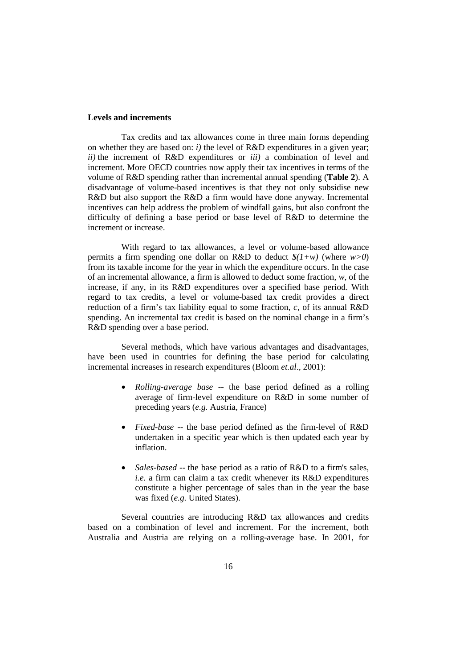#### **Levels and increments**

 Tax credits and tax allowances come in three main forms depending on whether they are based on: *i)* the level of R&D expenditures in a given year; *ii)* the increment of R&D expenditures or *iii)* a combination of level and increment. More OECD countries now apply their tax incentives in terms of the volume of R&D spending rather than incremental annual spending (**Table 2**). A disadvantage of volume-based incentives is that they not only subsidise new R&D but also support the R&D a firm would have done anyway. Incremental incentives can help address the problem of windfall gains, but also confront the difficulty of defining a base period or base level of R&D to determine the increment or increase.

 With regard to tax allowances, a level or volume-based allowance permits a firm spending one dollar on R&D to deduct *\$(1+w)* (where *w>0*) from its taxable income for the year in which the expenditure occurs. In the case of an incremental allowance, a firm is allowed to deduct some fraction, *w*, of the increase, if any, in its R&D expenditures over a specified base period. With regard to tax credits, a level or volume-based tax credit provides a direct reduction of a firm's tax liability equal to some fraction, *c*, of its annual R&D spending. An incremental tax credit is based on the nominal change in a firm's R&D spending over a base period.

 Several methods, which have various advantages and disadvantages, have been used in countries for defining the base period for calculating incremental increases in research expenditures (Bloom *et.al*., 2001):

- *Rolling-average base* -- the base period defined as a rolling average of firm-level expenditure on R&D in some number of preceding years (*e.g.* Austria, France)
- *Fixed-base* -- the base period defined as the firm-level of R&D undertaken in a specific year which is then updated each year by inflation.
- *Sales-based* -- the base period as a ratio of R&D to a firm's sales, *i.e.* a firm can claim a tax credit whenever its R&D expenditures constitute a higher percentage of sales than in the year the base was fixed (*e.g.* United States).

 Several countries are introducing R&D tax allowances and credits based on a combination of level and increment. For the increment, both Australia and Austria are relying on a rolling-average base. In 2001, for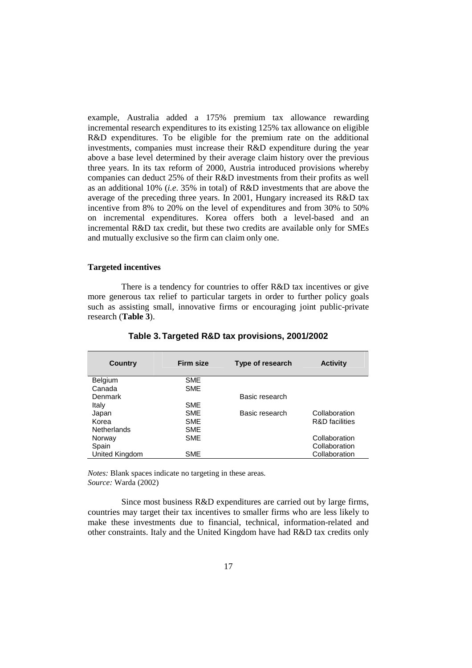example, Australia added a 175% premium tax allowance rewarding incremental research expenditures to its existing 125% tax allowance on eligible R&D expenditures. To be eligible for the premium rate on the additional investments, companies must increase their R&D expenditure during the year above a base level determined by their average claim history over the previous three years. In its tax reform of 2000, Austria introduced provisions whereby companies can deduct 25% of their R&D investments from their profits as well as an additional 10% (*i.e*. 35% in total) of R&D investments that are above the average of the preceding three years. In 2001, Hungary increased its R&D tax incentive from 8% to 20% on the level of expenditures and from 30% to 50% on incremental expenditures. Korea offers both a level-based and an incremental R&D tax credit, but these two credits are available only for SMEs and mutually exclusive so the firm can claim only one.

#### **Targeted incentives**

 There is a tendency for countries to offer R&D tax incentives or give more generous tax relief to particular targets in order to further policy goals such as assisting small, innovative firms or encouraging joint public-private research (**Table 3**).

| Country            | Firm size  | Type of research | <b>Activity</b>           |
|--------------------|------------|------------------|---------------------------|
| <b>Belgium</b>     | <b>SME</b> |                  |                           |
| Canada             | <b>SME</b> |                  |                           |
| Denmark            |            | Basic research   |                           |
| Italy              | <b>SME</b> |                  |                           |
| Japan              | <b>SME</b> | Basic research   | Collaboration             |
| Korea              | <b>SME</b> |                  | <b>R&amp;D</b> facilities |
| <b>Netherlands</b> | <b>SME</b> |                  |                           |
| Norway             | <b>SME</b> |                  | Collaboration             |
| Spain              |            |                  | Collaboration             |
| United Kingdom     | <b>SME</b> |                  | Collaboration             |
|                    |            |                  |                           |

**Table 3. Targeted R&D tax provisions, 2001/2002** 

*Notes:* Blank spaces indicate no targeting in these areas*. Source:* Warda (2002)

 Since most business R&D expenditures are carried out by large firms, countries may target their tax incentives to smaller firms who are less likely to make these investments due to financial, technical, information-related and other constraints. Italy and the United Kingdom have had R&D tax credits only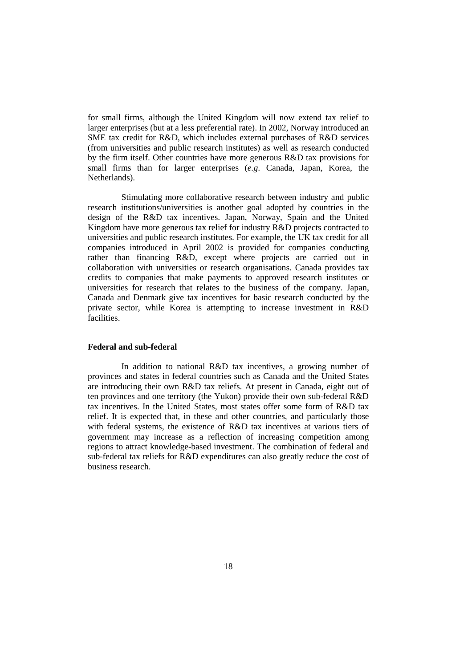for small firms, although the United Kingdom will now extend tax relief to larger enterprises (but at a less preferential rate). In 2002, Norway introduced an SME tax credit for R&D, which includes external purchases of R&D services (from universities and public research institutes) as well as research conducted by the firm itself. Other countries have more generous R&D tax provisions for small firms than for larger enterprises (*e.g*. Canada, Japan, Korea, the Netherlands).

 Stimulating more collaborative research between industry and public research institutions/universities is another goal adopted by countries in the design of the R&D tax incentives. Japan, Norway, Spain and the United Kingdom have more generous tax relief for industry R&D projects contracted to universities and public research institutes. For example, the UK tax credit for all companies introduced in April 2002 is provided for companies conducting rather than financing R&D, except where projects are carried out in collaboration with universities or research organisations. Canada provides tax credits to companies that make payments to approved research institutes or universities for research that relates to the business of the company. Japan, Canada and Denmark give tax incentives for basic research conducted by the private sector, while Korea is attempting to increase investment in R&D facilities.

#### **Federal and sub-federal**

 In addition to national R&D tax incentives, a growing number of provinces and states in federal countries such as Canada and the United States are introducing their own R&D tax reliefs. At present in Canada, eight out of ten provinces and one territory (the Yukon) provide their own sub-federal R&D tax incentives. In the United States, most states offer some form of R&D tax relief. It is expected that, in these and other countries, and particularly those with federal systems, the existence of R&D tax incentives at various tiers of government may increase as a reflection of increasing competition among regions to attract knowledge-based investment. The combination of federal and sub-federal tax reliefs for R&D expenditures can also greatly reduce the cost of business research.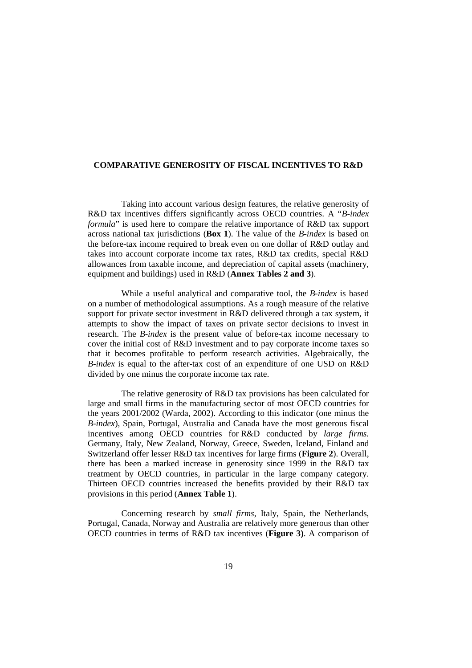#### **COMPARATIVE GENEROSITY OF FISCAL INCENTIVES TO R&D**

 Taking into account various design features, the relative generosity of R&D tax incentives differs significantly across OECD countries. A "*B-index formula*" is used here to compare the relative importance of R&D tax support across national tax jurisdictions (**Box 1**). The value of the *B-index* is based on the before-tax income required to break even on one dollar of R&D outlay and takes into account corporate income tax rates, R&D tax credits, special R&D allowances from taxable income, and depreciation of capital assets (machinery, equipment and buildings) used in R&D (**Annex Tables 2 and 3**).

 While a useful analytical and comparative tool, the *B-index* is based on a number of methodological assumptions. As a rough measure of the relative support for private sector investment in R&D delivered through a tax system, it attempts to show the impact of taxes on private sector decisions to invest in research. The *B-index* is the present value of before-tax income necessary to cover the initial cost of R&D investment and to pay corporate income taxes so that it becomes profitable to perform research activities. Algebraically, the *B-index* is equal to the after-tax cost of an expenditure of one USD on R&D divided by one minus the corporate income tax rate.

 The relative generosity of R&D tax provisions has been calculated for large and small firms in the manufacturing sector of most OECD countries for the years 2001/2002 (Warda, 2002). According to this indicator (one minus the *B-index*), Spain, Portugal, Australia and Canada have the most generous fiscal incentives among OECD countries for R&D conducted by *large firms.* Germany, Italy, New Zealand, Norway, Greece, Sweden, Iceland, Finland and Switzerland offer lesser R&D tax incentives for large firms (**Figure 2**). Overall, there has been a marked increase in generosity since 1999 in the R&D tax treatment by OECD countries, in particular in the large company category. Thirteen OECD countries increased the benefits provided by their R&D tax provisions in this period (**Annex Table 1**).

 Concerning research by *small firms*, Italy, Spain, the Netherlands, Portugal, Canada, Norway and Australia are relatively more generous than other OECD countries in terms of R&D tax incentives (**Figure 3)**. A comparison of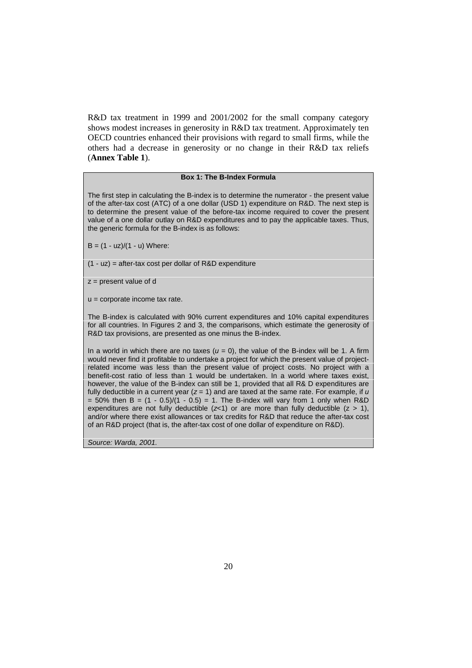R&D tax treatment in 1999 and 2001/2002 for the small company category shows modest increases in generosity in R&D tax treatment. Approximately ten OECD countries enhanced their provisions with regard to small firms, while the others had a decrease in generosity or no change in their R&D tax reliefs (**Annex Table 1**).

#### **Box 1: The B-Index Formula**

The first step in calculating the B-index is to determine the numerator - the present value of the after-tax cost (ATC) of a one dollar (USD 1) expenditure on R&D. The next step is to determine the present value of the before-tax income required to cover the present value of a one dollar outlay on R&D expenditures and to pay the applicable taxes. Thus, the generic formula for the B-index is as follows:

 $B = (1 - uz)/(1 - u)$  Where:

 $(1 - uz)$  = after-tax cost per dollar of R&D expenditure

 $z =$  present value of d

u = corporate income tax rate.

The B-index is calculated with 90% current expenditures and 10% capital expenditures for all countries. In Figures 2 and 3, the comparisons, which estimate the generosity of R&D tax provisions, are presented as one minus the B-index.

In a world in which there are no taxes  $(u = 0)$ , the value of the B-index will be 1. A firm would never find it profitable to undertake a project for which the present value of projectrelated income was less than the present value of project costs. No project with a benefit-cost ratio of less than 1 would be undertaken. In a world where taxes exist, however, the value of the B-index can still be 1, provided that all R& D expenditures are fully deductible in a current year  $(z = 1)$  and are taxed at the same rate. For example, if u  $= 50\%$  then B  $= (1 - 0.5)/(1 - 0.5) = 1$ . The B-index will vary from 1 only when R&D expenditures are not fully deductible  $(z<1)$  or are more than fully deductible  $(z > 1)$ , and/or where there exist allowances or tax credits for R&D that reduce the after-tax cost of an R&D project (that is, the after-tax cost of one dollar of expenditure on R&D).

Source: Warda, 2001.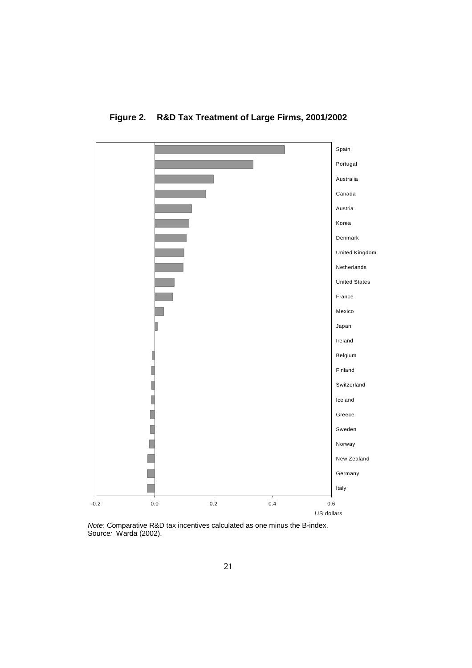

**Figure 2. R&D Tax Treatment of Large Firms, 2001/2002** 

Note: Comparative R&D tax incentives calculated as one minus the B-index. Source: Warda (2002).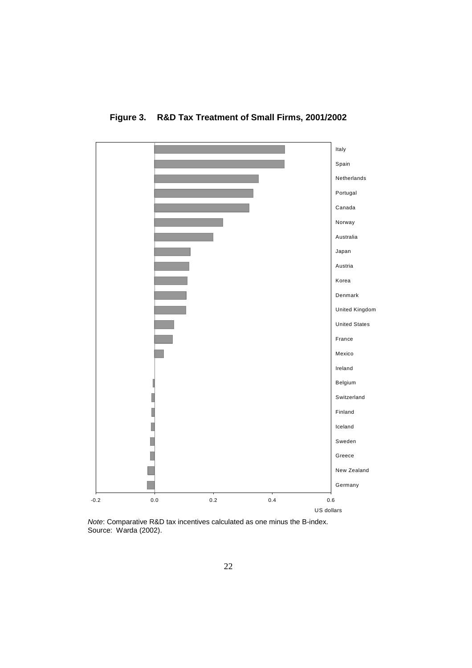

**Figure 3. R&D Tax Treatment of Small Firms, 2001/2002** 

Note: Comparative R&D tax incentives calculated as one minus the B-index. Source: Warda (2002).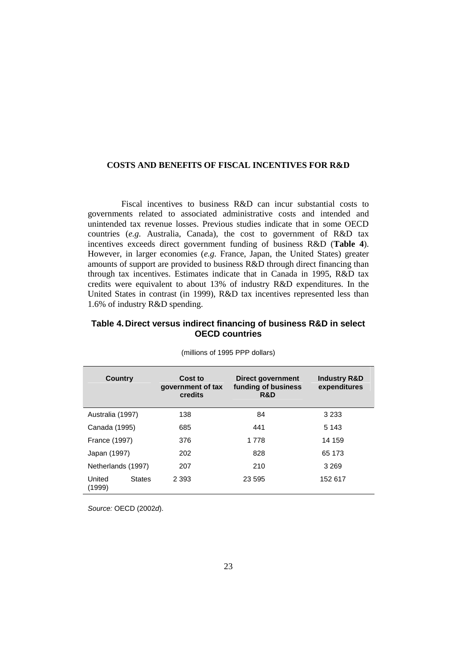#### **COSTS AND BENEFITS OF FISCAL INCENTIVES FOR R&D**

 Fiscal incentives to business R&D can incur substantial costs to governments related to associated administrative costs and intended and unintended tax revenue losses. Previous studies indicate that in some OECD countries (*e.g.* Australia, Canada), the cost to government of R&D tax incentives exceeds direct government funding of business R&D (**Table 4**). However, in larger economies (*e.g.* France, Japan, the United States) greater amounts of support are provided to business R&D through direct financing than through tax incentives. Estimates indicate that in Canada in 1995, R&D tax credits were equivalent to about 13% of industry R&D expenditures. In the United States in contrast (in 1999), R&D tax incentives represented less than 1.6% of industry R&D spending.

### **Table 4. Direct versus indirect financing of business R&D in select OECD countries**

| <b>Country</b>       |               | Cost to<br>government of tax<br>credits | Direct government<br>funding of business<br>R&D | <b>Industry R&amp;D</b><br>expenditures |
|----------------------|---------------|-----------------------------------------|-------------------------------------------------|-----------------------------------------|
| Australia (1997)     |               | 138                                     | 84                                              | 3 2 3 3                                 |
| Canada (1995)        |               | 685                                     | 441                                             | 5 1 4 3                                 |
| <b>France (1997)</b> |               | 376                                     | 1 7 7 8                                         | 14 159                                  |
| Japan (1997)         |               | 202                                     | 828                                             | 65 173                                  |
| Netherlands (1997)   |               | 207                                     | 210                                             | 3 2 6 9                                 |
| United<br>(1999)     | <b>States</b> | 2 3 9 3                                 | 23 595                                          | 152 617                                 |

(millions of 1995 PPP dollars)

Source: OECD (2002d).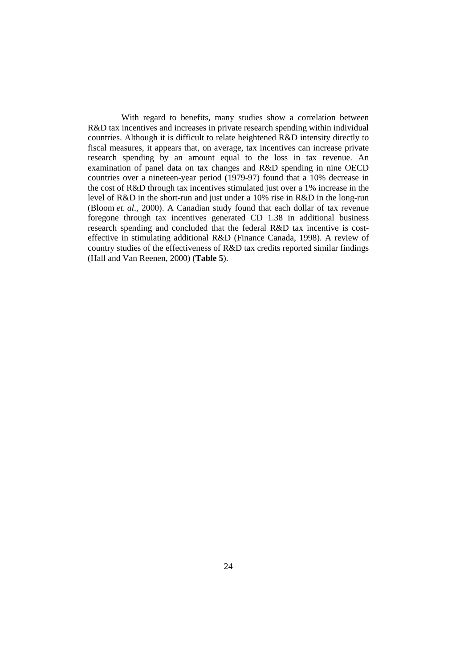With regard to benefits, many studies show a correlation between R&D tax incentives and increases in private research spending within individual countries. Although it is difficult to relate heightened R&D intensity directly to fiscal measures, it appears that, on average, tax incentives can increase private research spending by an amount equal to the loss in tax revenue. An examination of panel data on tax changes and R&D spending in nine OECD countries over a nineteen-year period (1979-97) found that a 10% decrease in the cost of R&D through tax incentives stimulated just over a 1% increase in the level of R&D in the short-run and just under a 10% rise in R&D in the long-run (Bloom *et. al*., 2000). A Canadian study found that each dollar of tax revenue foregone through tax incentives generated CD 1.38 in additional business research spending and concluded that the federal R&D tax incentive is costeffective in stimulating additional R&D (Finance Canada, 1998). A review of country studies of the effectiveness of R&D tax credits reported similar findings (Hall and Van Reenen, 2000) (**Table 5**).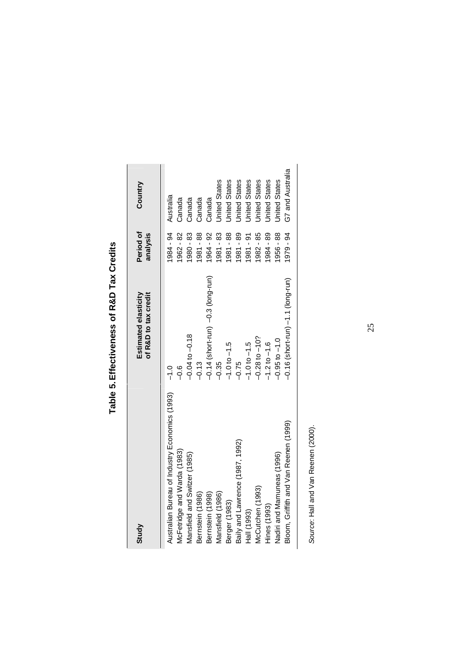| Study                                          | of R&D to tax credit<br>Estimated elasticity | Period of<br>analysis | Country              |
|------------------------------------------------|----------------------------------------------|-----------------------|----------------------|
| Australian Bureau of Industry Economics (1993) | $\frac{0}{1}$                                | 1984 - 94             | Australia            |
| McFetridge and Warda (1983)                    | ە.<br>م                                      | 1962 - 82             | Canada               |
| Mansfield and Switzer (1985)                   | $-0.04$ to $-0.18$                           | 1980 - 83             | Canada               |
| Bernstein (1986)                               | $-0.13$                                      | 1981 - 88             | Canada               |
| Bernstein (1998)                               | $-0.14$ (short-run) $-0.3$ (long-run)        | 1964 - 92             | Canada               |
| Mansfield (1986)                               | $-0.35$                                      | 1981-83               | <b>Jnited States</b> |
| Berger (1983)                                  | $-1.0$ to $-1.5$                             | 1981 - 88             | <b>Jnited States</b> |
| Baily and Lawrence (1987, 1992)                | $-0.75$                                      | 1981 - 89             | <b>Jnited States</b> |
| Hall (1993)                                    | $-1.0$ to $-1.5$                             | 1981 - 91             | <b>United States</b> |
| McCutchen (1993)                               | $-0.28$ to $-10$ ?                           | 1982 - 85             | <b>Jnited States</b> |
| Hines (1993)                                   | $-1.2$ to $-1.6$                             | 1984 - 89             | <b>Jnited States</b> |
| Nadiri and Mamuneas (1996)                     | $-0.95$ to $-1.0$                            | 1956 - 88             | <b>Jnited States</b> |
| Bloom, Griffith and Van Reenen (1999)          | $-0.16$ (short-run) $-1.1$ (long-run)        | 1979 - 94             | G7 and Australia     |

Table 5. Effectiveness of R&D Tax Credits **Table 5. Effectiveness of R&D Tax Credits** 

> Source: Hall and Van Reenen (2000). Source: Hall and Van Reenen (2000).

25 25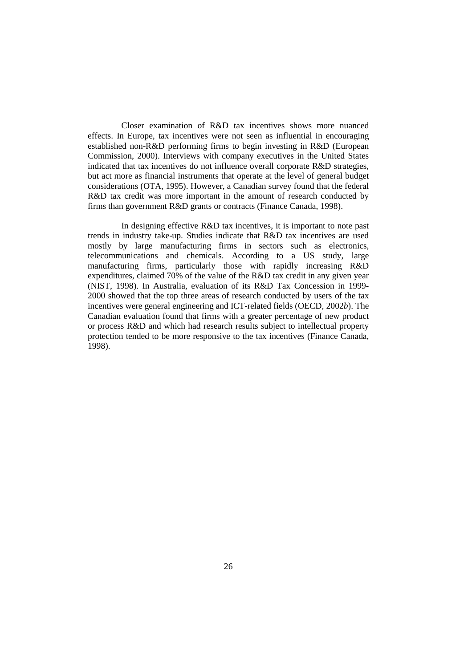Closer examination of R&D tax incentives shows more nuanced effects. In Europe, tax incentives were not seen as influential in encouraging established non-R&D performing firms to begin investing in R&D (European Commission, 2000). Interviews with company executives in the United States indicated that tax incentives do not influence overall corporate R&D strategies, but act more as financial instruments that operate at the level of general budget considerations (OTA, 1995). However, a Canadian survey found that the federal R&D tax credit was more important in the amount of research conducted by firms than government R&D grants or contracts (Finance Canada, 1998).

 In designing effective R&D tax incentives, it is important to note past trends in industry take-up. Studies indicate that R&D tax incentives are used mostly by large manufacturing firms in sectors such as electronics, telecommunications and chemicals. According to a US study, large manufacturing firms, particularly those with rapidly increasing R&D expenditures, claimed 70% of the value of the R&D tax credit in any given year (NIST, 1998). In Australia, evaluation of its R&D Tax Concession in 1999- 2000 showed that the top three areas of research conducted by users of the tax incentives were general engineering and ICT-related fields (OECD, 2002*b*). The Canadian evaluation found that firms with a greater percentage of new product or process R&D and which had research results subject to intellectual property protection tended to be more responsive to the tax incentives (Finance Canada, 1998).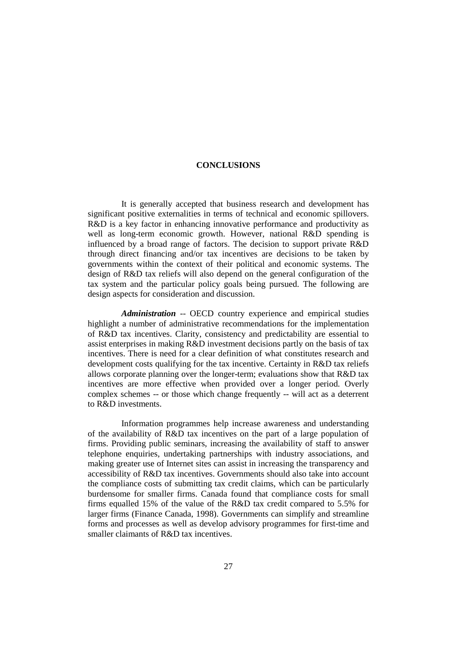#### **CONCLUSIONS**

 It is generally accepted that business research and development has significant positive externalities in terms of technical and economic spillovers. R&D is a key factor in enhancing innovative performance and productivity as well as long-term economic growth. However, national R&D spending is influenced by a broad range of factors. The decision to support private R&D through direct financing and/or tax incentives are decisions to be taken by governments within the context of their political and economic systems. The design of R&D tax reliefs will also depend on the general configuration of the tax system and the particular policy goals being pursued. The following are design aspects for consideration and discussion.

 *Administration* -- OECD country experience and empirical studies highlight a number of administrative recommendations for the implementation of R&D tax incentives. Clarity, consistency and predictability are essential to assist enterprises in making R&D investment decisions partly on the basis of tax incentives. There is need for a clear definition of what constitutes research and development costs qualifying for the tax incentive. Certainty in R&D tax reliefs allows corporate planning over the longer-term; evaluations show that R&D tax incentives are more effective when provided over a longer period. Overly complex schemes -- or those which change frequently -- will act as a deterrent to R&D investments.

 Information programmes help increase awareness and understanding of the availability of R&D tax incentives on the part of a large population of firms. Providing public seminars, increasing the availability of staff to answer telephone enquiries, undertaking partnerships with industry associations, and making greater use of Internet sites can assist in increasing the transparency and accessibility of R&D tax incentives. Governments should also take into account the compliance costs of submitting tax credit claims, which can be particularly burdensome for smaller firms. Canada found that compliance costs for small firms equalled 15% of the value of the R&D tax credit compared to 5.5% for larger firms (Finance Canada, 1998). Governments can simplify and streamline forms and processes as well as develop advisory programmes for first-time and smaller claimants of R&D tax incentives.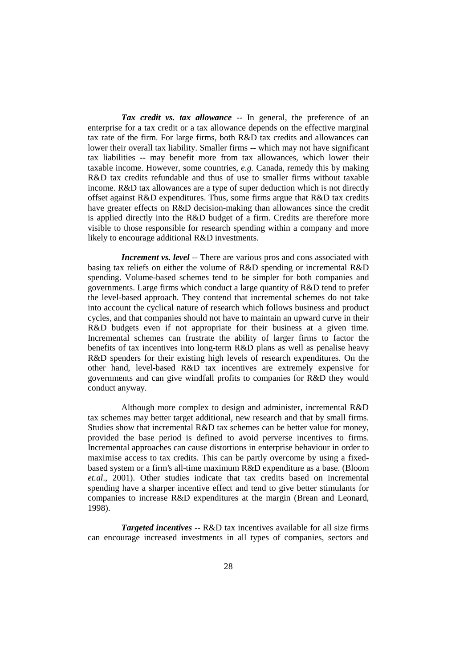*Tax credit vs. tax allowance* -- In general, the preference of an enterprise for a tax credit or a tax allowance depends on the effective marginal tax rate of the firm. For large firms, both R&D tax credits and allowances can lower their overall tax liability. Smaller firms -- which may not have significant tax liabilities -- may benefit more from tax allowances, which lower their taxable income. However, some countries, *e.g.* Canada, remedy this by making R&D tax credits refundable and thus of use to smaller firms without taxable income. R&D tax allowances are a type of super deduction which is not directly offset against R&D expenditures. Thus, some firms argue that R&D tax credits have greater effects on R&D decision-making than allowances since the credit is applied directly into the R&D budget of a firm. Credits are therefore more visible to those responsible for research spending within a company and more likely to encourage additional R&D investments.

*Increment vs. level* -- There are various pros and cons associated with basing tax reliefs on either the volume of R&D spending or incremental R&D spending. Volume-based schemes tend to be simpler for both companies and governments. Large firms which conduct a large quantity of R&D tend to prefer the level-based approach. They contend that incremental schemes do not take into account the cyclical nature of research which follows business and product cycles, and that companies should not have to maintain an upward curve in their R&D budgets even if not appropriate for their business at a given time. Incremental schemes can frustrate the ability of larger firms to factor the benefits of tax incentives into long-term R&D plans as well as penalise heavy R&D spenders for their existing high levels of research expenditures. On the other hand, level-based R&D tax incentives are extremely expensive for governments and can give windfall profits to companies for R&D they would conduct anyway.

 Although more complex to design and administer, incremental R&D tax schemes may better target additional, new research and that by small firms. Studies show that incremental R&D tax schemes can be better value for money, provided the base period is defined to avoid perverse incentives to firms. Incremental approaches can cause distortions in enterprise behaviour in order to maximise access to tax credits. This can be partly overcome by using a fixedbased system or a firm's all-time maximum R&D expenditure as a base. (Bloom *et.al*., 2001). Other studies indicate that tax credits based on incremental spending have a sharper incentive effect and tend to give better stimulants for companies to increase R&D expenditures at the margin (Brean and Leonard, 1998).

 *Targeted incentives* -- R&D tax incentives available for all size firms can encourage increased investments in all types of companies, sectors and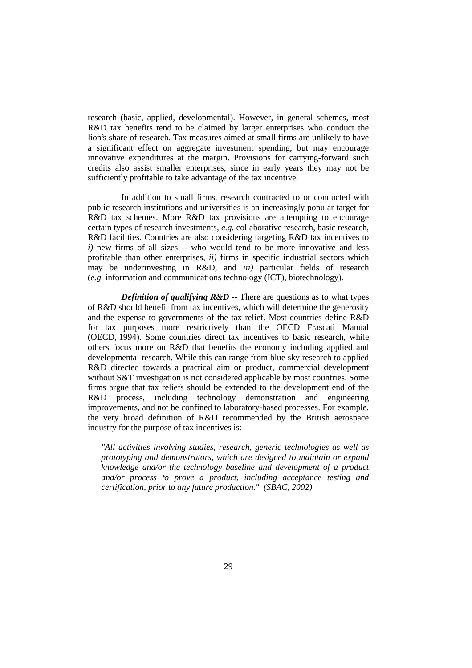research (basic, applied, developmental). However, in general schemes, most R&D tax benefits tend to be claimed by larger enterprises who conduct the lion's share of research. Tax measures aimed at small firms are unlikely to have a significant effect on aggregate investment spending, but may encourage innovative expenditures at the margin. Provisions for carrying-forward such credits also assist smaller enterprises, since in early years they may not be sufficiently profitable to take advantage of the tax incentive.

 In addition to small firms, research contracted to or conducted with public research institutions and universities is an increasingly popular target for R&D tax schemes. More R&D tax provisions are attempting to encourage certain types of research investments, *e.g.* collaborative research, basic research, R&D facilities. Countries are also considering targeting R&D tax incentives to *i*) new firms of all sizes -- who would tend to be more innovative and less profitable than other enterprises, *ii)* firms in specific industrial sectors which may be underinvesting in R&D, and *iii)* particular fields of research (*e.g.* information and communications technology (ICT), biotechnology).

*Definition of qualifying R&D* -- There are questions as to what types of R&D should benefit from tax incentives, which will determine the generosity and the expense to governments of the tax relief. Most countries define R&D for tax purposes more restrictively than the OECD Frascati Manual (OECD, 1994). Some countries direct tax incentives to basic research, while others focus more on R&D that benefits the economy including applied and developmental research. While this can range from blue sky research to applied R&D directed towards a practical aim or product, commercial development without S&T investigation is not considered applicable by most countries. Some firms argue that tax reliefs should be extended to the development end of the R&D process, including technology demonstration and engineering improvements, and not be confined to laboratory-based processes. For example, the very broad definition of R&D recommended by the British aerospace industry for the purpose of tax incentives is:

*"All activities involving studies, research, generic technologies as well as prototyping and demonstrators, which are designed to maintain or expand knowledge and/or the technology baseline and development of a product and/or process to prove a product, including acceptance testing and certification, prior to any future production." (SBAC, 2002)*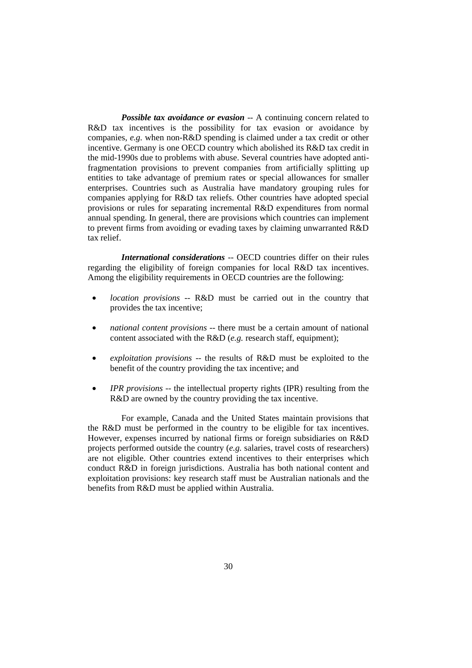*Possible tax avoidance or evasion* -- A continuing concern related to R&D tax incentives is the possibility for tax evasion or avoidance by companies, *e.g.* when non-R&D spending is claimed under a tax credit or other incentive. Germany is one OECD country which abolished its R&D tax credit in the mid-1990s due to problems with abuse. Several countries have adopted antifragmentation provisions to prevent companies from artificially splitting up entities to take advantage of premium rates or special allowances for smaller enterprises. Countries such as Australia have mandatory grouping rules for companies applying for R&D tax reliefs. Other countries have adopted special provisions or rules for separating incremental R&D expenditures from normal annual spending. In general, there are provisions which countries can implement to prevent firms from avoiding or evading taxes by claiming unwarranted R&D tax relief.

 *International considerations* -- OECD countries differ on their rules regarding the eligibility of foreign companies for local R&D tax incentives. Among the eligibility requirements in OECD countries are the following:

- *location provisions* -- R&D must be carried out in the country that provides the tax incentive;
- *national content provisions* -- there must be a certain amount of national content associated with the R&D (*e.g.* research staff, equipment);
- *exploitation provisions* -- the results of R&D must be exploited to the benefit of the country providing the tax incentive; and
- *IPR provisions* -- the intellectual property rights (IPR) resulting from the R&D are owned by the country providing the tax incentive.

 For example, Canada and the United States maintain provisions that the R&D must be performed in the country to be eligible for tax incentives. However, expenses incurred by national firms or foreign subsidiaries on R&D projects performed outside the country (*e.g.* salaries, travel costs of researchers) are not eligible. Other countries extend incentives to their enterprises which conduct R&D in foreign jurisdictions. Australia has both national content and exploitation provisions: key research staff must be Australian nationals and the benefits from R&D must be applied within Australia.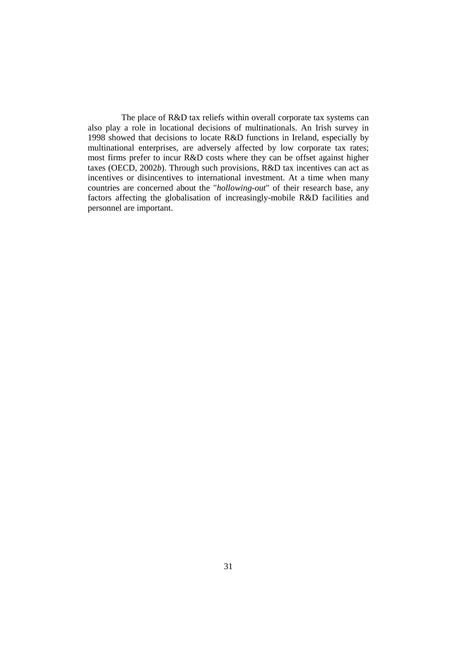The place of R&D tax reliefs within overall corporate tax systems can also play a role in locational decisions of multinationals. An Irish survey in 1998 showed that decisions to locate R&D functions in Ireland, especially by multinational enterprises, are adversely affected by low corporate tax rates; most firms prefer to incur R&D costs where they can be offset against higher taxes (OECD, 2002*b*). Through such provisions, R&D tax incentives can act as incentives or disincentives to international investment. At a time when many countries are concerned about the "*hollowing-out*" of their research base, any factors affecting the globalisation of increasingly-mobile R&D facilities and personnel are important.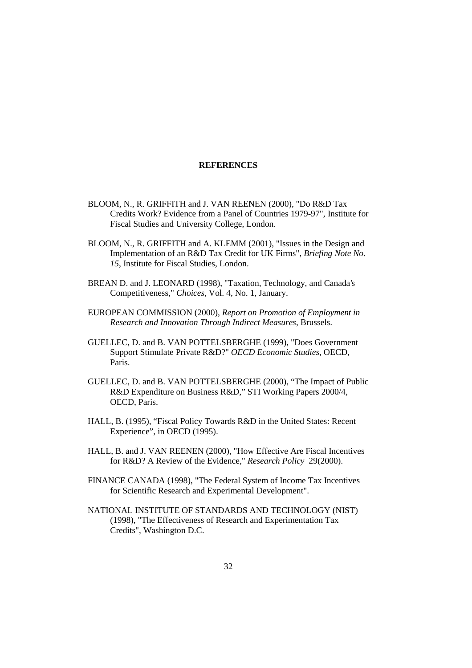#### **REFERENCES**

- BLOOM, N., R. GRIFFITH and J. VAN REENEN (2000), "Do R&D Tax Credits Work? Evidence from a Panel of Countries 1979-97", Institute for Fiscal Studies and University College, London.
- BLOOM, N., R. GRIFFITH and A. KLEMM (2001), "Issues in the Design and Implementation of an R&D Tax Credit for UK Firms", *Briefing Note No. 15*, Institute for Fiscal Studies, London.
- BREAN D. and J. LEONARD (1998), "Taxation, Technology, and Canada's Competitiveness," *Choices*, Vol. 4, No. 1, January.
- EUROPEAN COMMISSION (2000), *Report on Promotion of Employment in Research and Innovation Through Indirect Measures*, Brussels.
- GUELLEC, D. and B. VAN POTTELSBERGHE (1999), "Does Government Support Stimulate Private R&D?" *OECD Economic Studies*, OECD, Paris.
- GUELLEC, D. and B. VAN POTTELSBERGHE (2000), "The Impact of Public R&D Expenditure on Business R&D," STI Working Papers 2000/4, OECD, Paris.
- HALL, B. (1995), "Fiscal Policy Towards R&D in the United States: Recent Experience", in OECD (1995).
- HALL, B. and J. VAN REENEN (2000), "How Effective Are Fiscal Incentives for R&D? A Review of the Evidence," *Research Policy* 29(2000).
- FINANCE CANADA (1998), "The Federal System of Income Tax Incentives for Scientific Research and Experimental Development".
- NATIONAL INSTITUTE OF STANDARDS AND TECHNOLOGY (NIST) (1998), "The Effectiveness of Research and Experimentation Tax Credits", Washington D.C.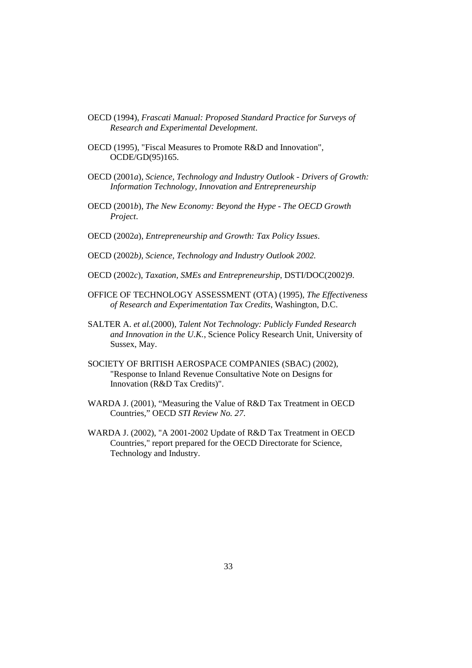- OECD (1994), *Frascati Manual: Proposed Standard Practice for Surveys of Research and Experimental Development*.
- OECD (1995), "Fiscal Measures to Promote R&D and Innovation", OCDE/GD(95)165.
- OECD (2001*a*), *Science, Technology and Industry Outlook Drivers of Growth: Information Technology, Innovation and Entrepreneurship*
- OECD (2001*b*), *The New Economy: Beyond the Hype The OECD Growth Project*.
- OECD (2002*a*), *Entrepreneurship and Growth: Tax Policy Issues*.
- OECD (2002*b)*, *Science, Technology and Industry Outlook 2002.*
- OECD (2002*c*), *Taxation, SMEs and Entrepreneurship*, DSTI/DOC(2002)9.
- OFFICE OF TECHNOLOGY ASSESSMENT (OTA) (1995), *The Effectiveness of Research and Experimentation Tax Credits*, Washington, D.C.
- SALTER A. *et al.*(2000)*, Talent Not Technology: Publicly Funded Research and Innovation in the U.K.*, Science Policy Research Unit, University of Sussex, May.
- SOCIETY OF BRITISH AEROSPACE COMPANIES (SBAC) (2002), "Response to Inland Revenue Consultative Note on Designs for Innovation (R&D Tax Credits)".
- WARDA J. (2001), "Measuring the Value of R&D Tax Treatment in OECD Countries," OECD *STI Review No. 27*.
- WARDA J. (2002), "A 2001-2002 Update of R&D Tax Treatment in OECD Countries," report prepared for the OECD Directorate for Science, Technology and Industry.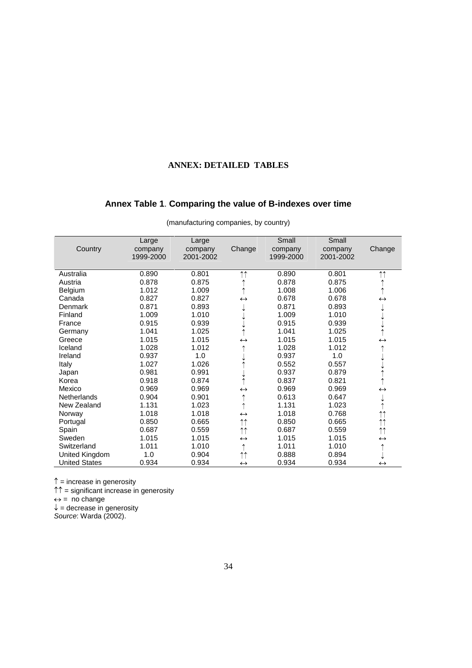## **ANNEX: DETAILED TABLES**

## **Annex Table 1**. **Comparing the value of B-indexes over time**

|                      | Large                | Large                |                     | Small                | Small                |                     |
|----------------------|----------------------|----------------------|---------------------|----------------------|----------------------|---------------------|
| Country              | company<br>1999-2000 | company<br>2001-2002 | Change              | company<br>1999-2000 | company<br>2001-2002 | Change              |
|                      |                      |                      |                     |                      |                      |                     |
| Australia            | 0.890                | 0.801                | $\uparrow \uparrow$ | 0.890                | 0.801                | $\uparrow \uparrow$ |
| Austria              | 0.878                | 0.875                |                     | 0.878                | 0.875                |                     |
| Belgium              | 1.012                | 1.009                |                     | 1.008                | 1.006                | $\uparrow$          |
| Canada               | 0.827                | 0.827                | $\leftrightarrow$   | 0.678                | 0.678                | $\leftrightarrow$   |
| <b>Denmark</b>       | 0.871                | 0.893                |                     | 0.871                | 0.893                |                     |
| Finland              | 1.009                | 1.010                |                     | 1.009                | 1.010                |                     |
| France               | 0.915                | 0.939                |                     | 0.915                | 0.939                |                     |
| Germany              | 1.041                | 1.025                |                     | 1.041                | 1.025                |                     |
| Greece               | 1.015                | 1.015                | $\leftrightarrow$   | 1.015                | 1.015                | $\leftrightarrow$   |
| Iceland              | 1.028                | 1.012                |                     | 1.028                | 1.012                |                     |
| Ireland              | 0.937                | 1.0                  |                     | 0.937                | 1.0                  |                     |
| Italy                | 1.027                | 1.026                |                     | 0.552                | 0.557                |                     |
| Japan                | 0.981                | 0.991                |                     | 0.937                | 0.879                |                     |
| Korea                | 0.918                | 0.874                |                     | 0.837                | 0.821                |                     |
| Mexico               | 0.969                | 0.969                | $\leftrightarrow$   | 0.969                | 0.969                | $\leftrightarrow$   |
| <b>Netherlands</b>   | 0.904                | 0.901                |                     | 0.613                | 0.647                |                     |
| New Zealand          | 1.131                | 1.023                |                     | 1.131                | 1.023                |                     |
| Norway               | 1.018                | 1.018                | $\leftrightarrow$   | 1.018                | 0.768                | $\uparrow \uparrow$ |
| Portugal             | 0.850                | 0.665                | $\uparrow \uparrow$ | 0.850                | 0.665                | $\uparrow \uparrow$ |
| Spain                | 0.687                | 0.559                | $\uparrow \uparrow$ | 0.687                | 0.559                | $\uparrow \uparrow$ |
| Sweden               | 1.015                | 1.015                | $\leftrightarrow$   | 1.015                | 1.015                | $\leftrightarrow$   |
| Switzerland          | 1.011                | 1.010                | ↑                   | 1.011                | 1.010                |                     |
| United Kingdom       | 1.0                  | 0.904                | $\uparrow \uparrow$ | 0.888                | 0.894                |                     |
| <b>United States</b> | 0.934                | 0.934                | $\leftrightarrow$   | 0.934                | 0.934                | $\leftrightarrow$   |

(manufacturing companies, by country)

 $\uparrow$  = increase in generosity

↑↑ = significant increase in generosity

 $\leftrightarrow$  = no change

 $\downarrow$  = decrease in generosity

Source: Warda (2002).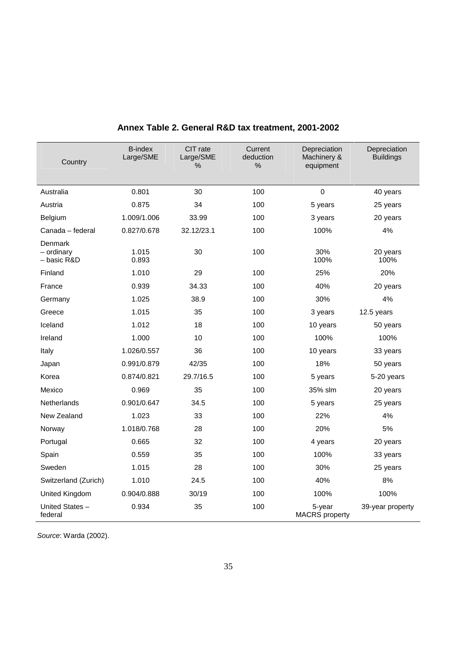| Country                                | <b>B-index</b><br>Large/SME | CIT rate<br>Large/SME<br>% | Current<br>deduction<br>$\%$ | Depreciation<br>Machinery &<br>equipment | Depreciation<br><b>Buildings</b> |
|----------------------------------------|-----------------------------|----------------------------|------------------------------|------------------------------------------|----------------------------------|
| Australia                              | 0.801                       | 30                         | 100                          | $\mathbf 0$                              | 40 years                         |
| Austria                                | 0.875                       | 34                         | 100                          | 5 years                                  | 25 years                         |
| <b>Belgium</b>                         | 1.009/1.006                 | 33.99                      | 100                          | 3 years                                  | 20 years                         |
| Canada - federal                       | 0.827/0.678                 | 32.12/23.1                 | 100                          | 100%                                     | 4%                               |
| Denmark<br>$-$ ordinary<br>- basic R&D | 1.015<br>0.893              | 30                         | 100                          | 30%<br>100%                              | 20 years<br>100%                 |
| Finland                                | 1.010                       | 29                         | 100                          | 25%                                      | 20%                              |
| France                                 | 0.939                       | 34.33                      | 100                          | 40%                                      | 20 years                         |
| Germany                                | 1.025                       | 38.9                       | 100                          | 30%                                      | 4%                               |
| Greece                                 | 1.015                       | 35                         | 100                          | 3 years                                  | 12.5 years                       |
| Iceland                                | 1.012                       | 18                         | 100                          | 10 years                                 | 50 years                         |
| Ireland                                | 1.000                       | 10                         | 100                          | 100%                                     | 100%                             |
| Italy                                  | 1.026/0.557                 | 36                         | 100                          | 10 years                                 | 33 years                         |
| Japan                                  | 0.991/0.879                 | 42/35                      | 100                          | 18%                                      | 50 years                         |
| Korea                                  | 0.874/0.821                 | 29.7/16.5                  | 100                          | 5 years                                  | 5-20 years                       |
| Mexico                                 | 0.969                       | 35                         | 100                          | 35% slm                                  | 20 years                         |
| Netherlands                            | 0.901/0.647                 | 34.5                       | 100                          | 5 years                                  | 25 years                         |
| New Zealand                            | 1.023                       | 33                         | 100                          | 22%                                      | 4%                               |
| Norway                                 | 1.018/0.768                 | 28                         | 100                          | 20%                                      | 5%                               |
| Portugal                               | 0.665                       | 32                         | 100                          | 4 years                                  | 20 years                         |
| Spain                                  | 0.559                       | 35                         | 100                          | 100%                                     | 33 years                         |
| Sweden                                 | 1.015                       | 28                         | 100                          | 30%                                      | 25 years                         |
| Switzerland (Zurich)                   | 1.010                       | 24.5                       | 100                          | 40%                                      | 8%                               |
| United Kingdom                         | 0.904/0.888                 | 30/19                      | 100                          | 100%                                     | 100%                             |
| United States-<br>federal              | 0.934                       | 35                         | 100                          | 5-year<br><b>MACRS</b> property          | 39-year property                 |

## **Annex Table 2. General R&D tax treatment, 2001-2002**

Source: Warda (2002).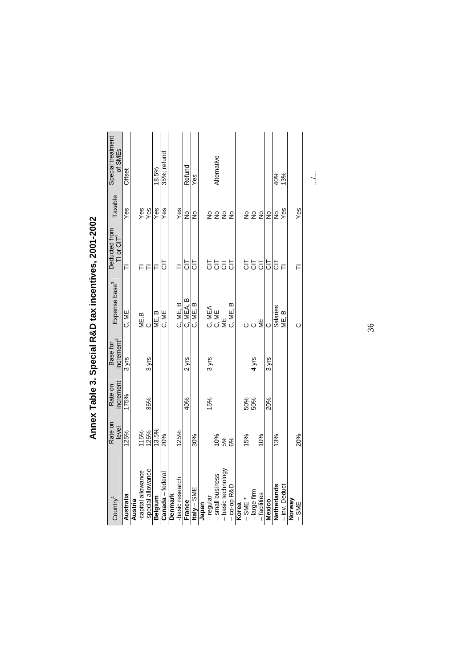| Country <sup>1</sup> | Rate on<br>level | increment<br>Rate on | increment <sup>2</sup><br>Base for | Expense base <sup>3</sup> | Deducted from<br>TI or CIT <sup>4</sup> | Taxable | Special treatment<br>of SMEs |
|----------------------|------------------|----------------------|------------------------------------|---------------------------|-----------------------------------------|---------|------------------------------|
| Australia            | 125%             | 175%                 | $3y$ rs                            | C, ME                     |                                         | Yes     | Offset                       |
| Austria              |                  |                      |                                    |                           |                                         |         |                              |
| -capital allowance   | 115%             |                      |                                    | ME,B<br>C                 |                                         | Yes     |                              |
| -special allowance   | 125%             | 35%                  | 3 yrs                              |                           |                                         | Yes     |                              |
| Belgium              | 13.5%            |                      |                                    | ME.B                      | ⊏                                       | Yes     | 18.5%                        |
| Canada - federal     | 20%              |                      |                                    | C, ME                     | 등                                       | Yes     | 35%; refund                  |
| Denmark              |                  |                      |                                    |                           |                                         |         |                              |
| -basic research      | 125%             |                      |                                    | C, ME, B                  | ╒                                       | Yes     |                              |
| France               |                  | 40%                  | $2$ yrs                            | C, MEA, B                 | 등                                       | ž       | Refund                       |
| Italy $-$ SME        | 30%              |                      |                                    | C, ME, B                  | 등                                       | ş       | Yes                          |
| Japan                |                  |                      |                                    |                           |                                         |         |                              |
| -regular             |                  | 15%                  | $3 y$ rs                           |                           |                                         |         |                              |
| - small business     | 10%              |                      |                                    | C<br>MEA<br>C ME          | 5555                                    | 2222    | Alternative                  |
| - basic technology   | 5%               |                      |                                    | ME                        |                                         |         |                              |
| $-$ co-op R&D        | 6%               |                      |                                    | C, ME, B                  |                                         |         |                              |
| Korea                |                  |                      |                                    |                           |                                         |         |                              |
| $-$ SME $*$          | 15%              |                      |                                    |                           |                                         |         |                              |
| - large firm         |                  | 50%<br>50%           | 4 yrs                              | oo≝                       | 555                                     | 222     |                              |
| - facilities         | 10%              |                      |                                    |                           |                                         |         |                              |
| Mexico               |                  | 20%                  | 3 yrs                              | Õ                         | 등                                       | ş       |                              |
| Netherlands          | 13%              |                      |                                    | Salaries                  | 5                                       | ş       | 40%                          |
| - inv. Deduct        |                  |                      |                                    | ME, B                     |                                         | Yes     | 13%                          |
| Norway<br>$-$ SME    | 20%              |                      |                                    | Õ                         |                                         | Yes     |                              |

Annex Table 3. Special R&D tax incentives, 2001-2002 **Annex Table 3. Special R&D tax incentives, 2001-2002** 

36 36

…/…

 $\cdots$